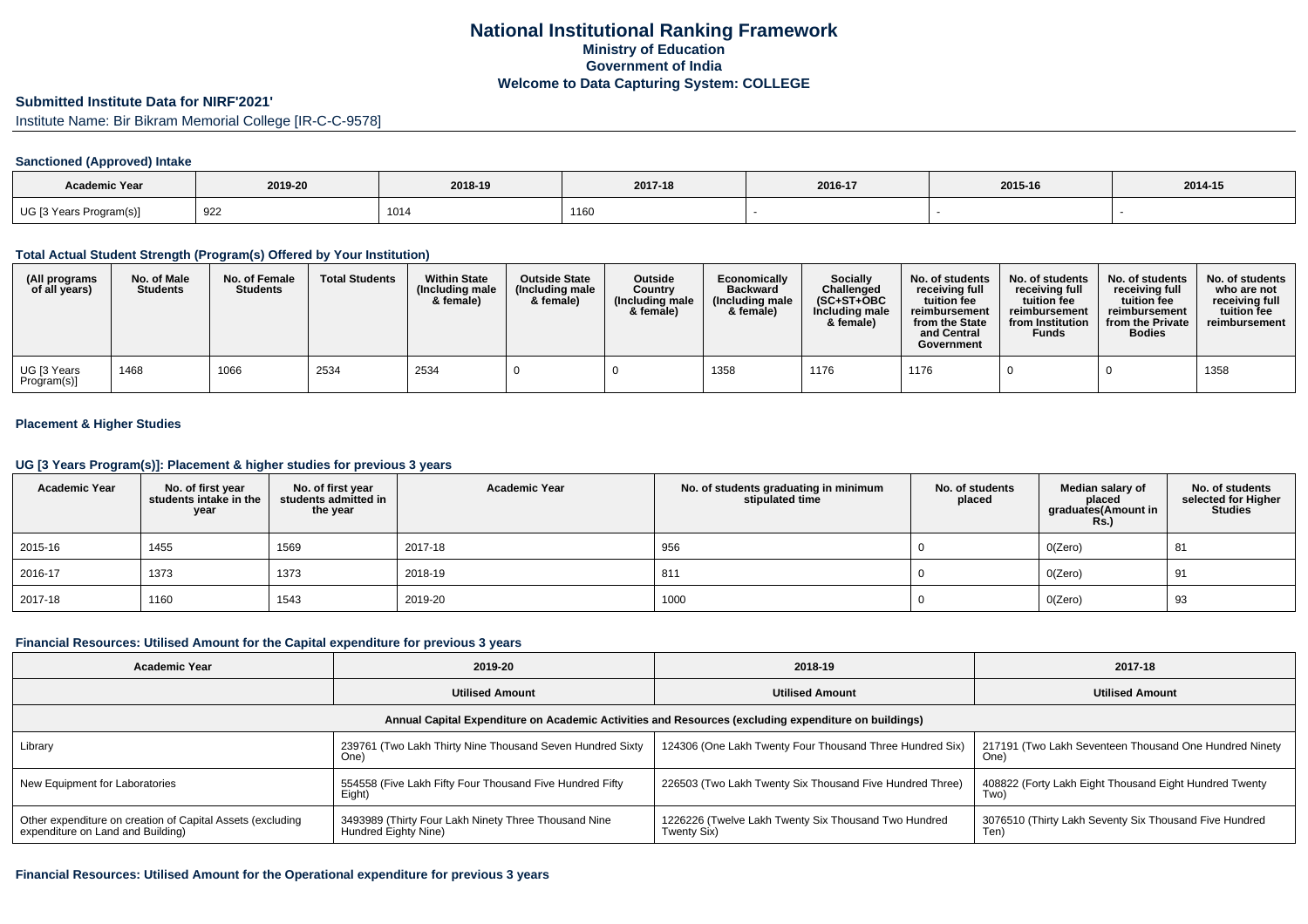### **Submitted Institute Data for NIRF'2021'**

Institute Name: Bir Bikram Memorial College [IR-C-C-9578]

#### **Sanctioned (Approved) Intake**

| <b>Academic Year</b>    |         |         |         |         |         |         |
|-------------------------|---------|---------|---------|---------|---------|---------|
|                         | 2019-20 | 2018-19 | 2017-18 | 2016-17 | 2015-16 | 2014-15 |
| UG [3 Years Program(s)] | 922     | 1014    | 1160    |         |         |         |

### **Total Actual Student Strength (Program(s) Offered by Your Institution)**

| (All programs<br>of all years) | No. of Male<br><b>Students</b> | No. of Female<br><b>Students</b> | <b>Total Students</b> | <b>Within State</b><br>(Including male<br>& female) | <b>Outside State</b><br>(Including male<br>& female) | <b>Outside</b><br>Country<br>(Including male<br>& female) | Economically<br><b>Backward</b><br>(Including male<br>& female) | Socially<br>Challenged<br>$(SC+ST+OBC)$<br>Including male<br>& female) | No. of students<br>receiving full<br>tuition fee<br>reimbursement<br>from the State<br>and Central<br>Government | No. of students<br>receiving full<br>tuition fee<br>reimbursement<br>from Institution<br><b>Funds</b> | No. of students<br>receiving full<br>tuition fee<br>reimbursement<br>from the Private<br><b>Bodies</b> | No. of students<br>who are not<br>receiving full<br>tuition fee<br>reimbursement |
|--------------------------------|--------------------------------|----------------------------------|-----------------------|-----------------------------------------------------|------------------------------------------------------|-----------------------------------------------------------|-----------------------------------------------------------------|------------------------------------------------------------------------|------------------------------------------------------------------------------------------------------------------|-------------------------------------------------------------------------------------------------------|--------------------------------------------------------------------------------------------------------|----------------------------------------------------------------------------------|
| UG [3 Years<br>Program(s)]     | 1468                           | 1066                             | 2534                  | 2534                                                |                                                      |                                                           | 1358                                                            | 1176                                                                   | 1176                                                                                                             |                                                                                                       |                                                                                                        | 1358                                                                             |

## **Placement & Higher Studies**

#### **UG [3 Years Program(s)]: Placement & higher studies for previous 3 years**

| <b>Academic Year</b> | No. of first year<br>students intake in the<br>year | No. of first year<br>students admitted in<br>the year | <b>Academic Year</b> | No. of students graduating in minimum<br>stipulated time | No. of students<br>placed | Median salary of<br>placed<br>graduates(Amount in<br><b>Rs.)</b> | No. of students<br>selected for Higher<br><b>Studies</b> |
|----------------------|-----------------------------------------------------|-------------------------------------------------------|----------------------|----------------------------------------------------------|---------------------------|------------------------------------------------------------------|----------------------------------------------------------|
| 2015-16              | 1455                                                | 1569                                                  | 2017-18              | 956                                                      |                           | O(Zero)                                                          | 81                                                       |
| 2016-17              | 1373                                                | 1373                                                  | 2018-19              | 811                                                      |                           | O(Zero)                                                          | 91                                                       |
| 2017-18              | 1160                                                | 1543                                                  | 2019-20              | 1000                                                     |                           | O(Zero)                                                          | 93                                                       |

#### **Financial Resources: Utilised Amount for the Capital expenditure for previous 3 years**

| Academic Year                                                                                   | 2019-20                                                                      | 2018-19                                                                                              | 2017-18                                                        |  |
|-------------------------------------------------------------------------------------------------|------------------------------------------------------------------------------|------------------------------------------------------------------------------------------------------|----------------------------------------------------------------|--|
|                                                                                                 | <b>Utilised Amount</b>                                                       | <b>Utilised Amount</b>                                                                               | <b>Utilised Amount</b>                                         |  |
|                                                                                                 |                                                                              | Annual Capital Expenditure on Academic Activities and Resources (excluding expenditure on buildings) |                                                                |  |
| Library                                                                                         | 239761 (Two Lakh Thirty Nine Thousand Seven Hundred Sixty<br>One)            | 124306 (One Lakh Twenty Four Thousand Three Hundred Six)                                             | 217191 (Two Lakh Seventeen Thousand One Hundred Ninety<br>One) |  |
| New Equipment for Laboratories                                                                  | 554558 (Five Lakh Fifty Four Thousand Five Hundred Fifty<br>Eight)           | 226503 (Two Lakh Twenty Six Thousand Five Hundred Three)                                             | 408822 (Forty Lakh Eight Thousand Eight Hundred Twenty<br>Two) |  |
| Other expenditure on creation of Capital Assets (excluding<br>expenditure on Land and Building) | 3493989 (Thirty Four Lakh Ninety Three Thousand Nine<br>Hundred Eighty Nine) | 1226226 (Twelve Lakh Twenty Six Thousand Two Hundred<br>Twenty Six)                                  | 3076510 (Thirty Lakh Seventy Six Thousand Five Hundred<br>Ten) |  |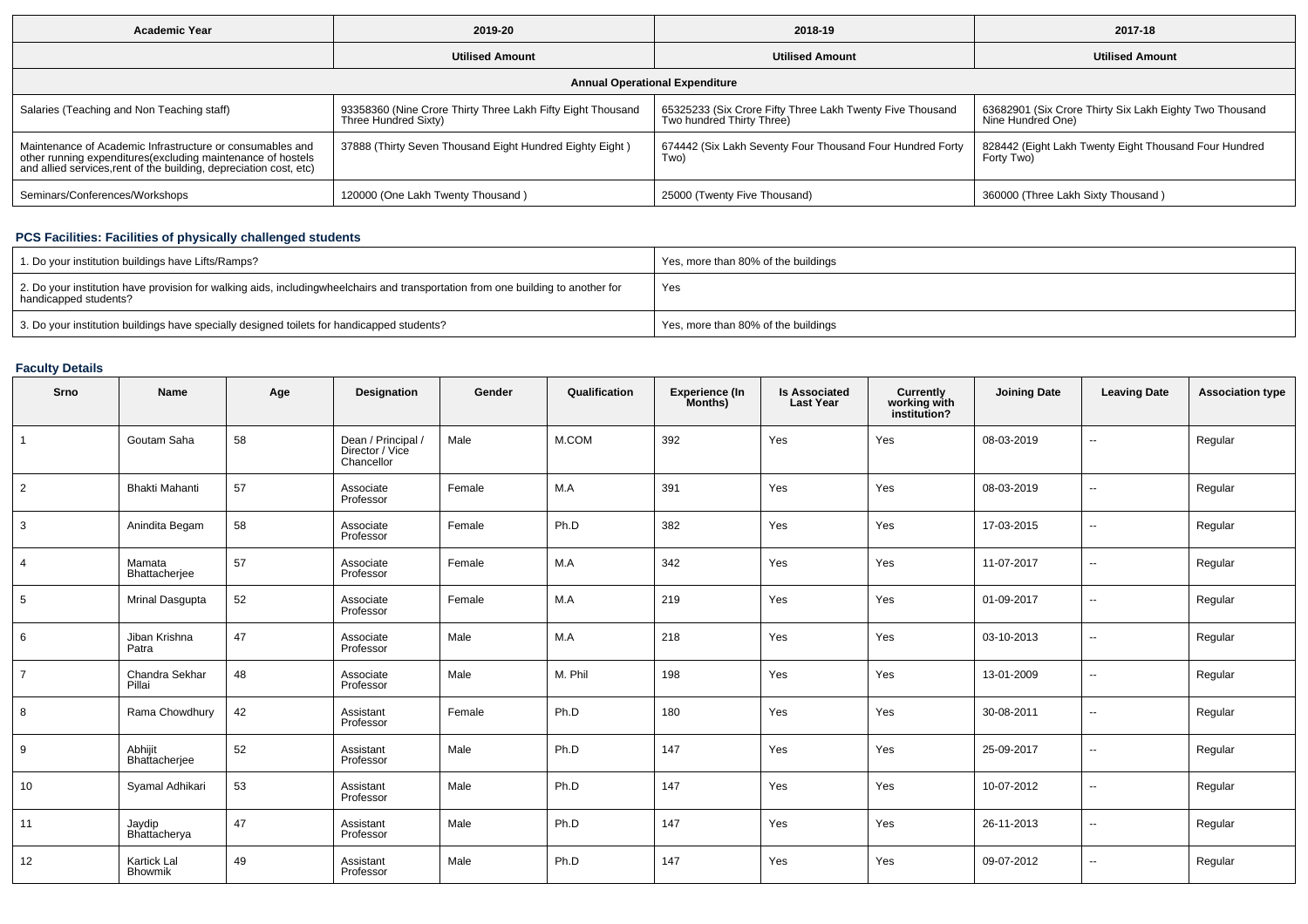| <b>Academic Year</b>                                                                                                                                                                           | 2019-20                                                                             | 2018-19                                                                                | 2017-18                                                                      |  |  |  |  |  |  |  |  |
|------------------------------------------------------------------------------------------------------------------------------------------------------------------------------------------------|-------------------------------------------------------------------------------------|----------------------------------------------------------------------------------------|------------------------------------------------------------------------------|--|--|--|--|--|--|--|--|
|                                                                                                                                                                                                | <b>Utilised Amount</b>                                                              | <b>Utilised Amount</b>                                                                 | <b>Utilised Amount</b>                                                       |  |  |  |  |  |  |  |  |
| <b>Annual Operational Expenditure</b>                                                                                                                                                          |                                                                                     |                                                                                        |                                                                              |  |  |  |  |  |  |  |  |
| Salaries (Teaching and Non Teaching staff)                                                                                                                                                     | 93358360 (Nine Crore Thirty Three Lakh Fifty Eight Thousand<br>Three Hundred Sixty) | 65325233 (Six Crore Fifty Three Lakh Twenty Five Thousand<br>Two hundred Thirty Three) | 63682901 (Six Crore Thirty Six Lakh Eighty Two Thousand<br>Nine Hundred One) |  |  |  |  |  |  |  |  |
| Maintenance of Academic Infrastructure or consumables and<br>other running expenditures(excluding maintenance of hostels<br>and allied services, rent of the building, depreciation cost, etc) | 37888 (Thirty Seven Thousand Eight Hundred Eighty Eight)                            | 674442 (Six Lakh Seventy Four Thousand Four Hundred Forty<br>Two)                      | 828442 (Eight Lakh Twenty Eight Thousand Four Hundred<br>Forty Two)          |  |  |  |  |  |  |  |  |
| Seminars/Conferences/Workshops                                                                                                                                                                 | 120000 (One Lakh Twenty Thousand)                                                   | 25000 (Twenty Five Thousand)                                                           | 360000 (Three Lakh Sixty Thousand)                                           |  |  |  |  |  |  |  |  |

# **PCS Facilities: Facilities of physically challenged students**

| 1. Do your institution buildings have Lifts/Ramps?                                                                                                        | Yes, more than 80% of the buildings |
|-----------------------------------------------------------------------------------------------------------------------------------------------------------|-------------------------------------|
| 2. Do your institution have provision for walking aids, includingwheelchairs and transportation from one building to another for<br>handicapped students? | Yes                                 |
| 3. Do your institution buildings have specially designed toilets for handicapped students?                                                                | Yes, more than 80% of the buildings |

# **Faculty Details**

| Srno           | Name                     | Age | <b>Designation</b>                                  | Gender | Qualification | Experience (In<br>Months) | <b>Is Associated</b><br><b>Last Year</b> | <b>Currently<br/>working with<br/>institution?</b> | <b>Joining Date</b> | <b>Leaving Date</b>      | <b>Association type</b> |
|----------------|--------------------------|-----|-----------------------------------------------------|--------|---------------|---------------------------|------------------------------------------|----------------------------------------------------|---------------------|--------------------------|-------------------------|
| $\mathbf{1}$   | Goutam Saha              | 58  | Dean / Principal /<br>Director / Vice<br>Chancellor | Male   | M.COM         | 392                       | Yes                                      | Yes                                                | 08-03-2019          | $\overline{\phantom{a}}$ | Regular                 |
| $\overline{2}$ | <b>Bhakti Mahanti</b>    | 57  | Associate<br>Professor                              | Female | M.A           | 391                       | Yes                                      | Yes                                                | 08-03-2019          | $\overline{\phantom{a}}$ | Regular                 |
| 3              | Anindita Begam           | 58  | Associate<br>Professor                              | Female | Ph.D          | 382                       | Yes                                      | Yes                                                | 17-03-2015          | $\sim$                   | Regular                 |
| $\overline{4}$ | Mamata<br>Bhattacherjee  | 57  | Associate<br>Professor                              | Female | M.A           | 342                       | Yes                                      | Yes                                                | 11-07-2017          | $\overline{\phantom{a}}$ | Regular                 |
| 5              | Mrinal Dasgupta          | 52  | Associate<br>Professor                              | Female | M.A           | 219                       | Yes                                      | Yes                                                | 01-09-2017          | $\overline{\phantom{a}}$ | Regular                 |
| 6              | Jiban Krishna<br>Patra   | 47  | Associate<br>Professor                              | Male   | M.A           | 218                       | Yes                                      | Yes                                                | 03-10-2013          | $\overline{\phantom{a}}$ | Regular                 |
| $\overline{7}$ | Chandra Sekhar<br>Pillai | 48  | Associate<br>Professor                              | Male   | M. Phil       | 198                       | Yes                                      | Yes                                                | 13-01-2009          | $\sim$                   | Regular                 |
| 8              | Rama Chowdhury           | 42  | Assistant<br>Professor                              | Female | Ph.D          | 180                       | Yes                                      | Yes                                                | 30-08-2011          | $\overline{\phantom{a}}$ | Regular                 |
| 9              | Abhijit<br>Bhattacherjee | 52  | Assistant<br>Professor                              | Male   | Ph.D          | 147                       | Yes                                      | Yes                                                | 25-09-2017          | $\overline{\phantom{a}}$ | Regular                 |
| 10             | Syamal Adhikari          | 53  | Assistant<br>Professor                              | Male   | Ph.D          | 147                       | Yes                                      | Yes                                                | 10-07-2012          | $\overline{\phantom{a}}$ | Regular                 |
| 11             | Jaydip<br>Bhattacherya   | 47  | Assistant<br>Professor                              | Male   | Ph.D          | 147                       | Yes                                      | Yes                                                | 26-11-2013          | $\overline{\phantom{a}}$ | Regular                 |
| 12             | Kartick Lal<br>Bhowmik   | 49  | Assistant<br>Professor                              | Male   | Ph.D          | 147                       | Yes                                      | Yes                                                | 09-07-2012          | $\overline{\phantom{a}}$ | Regular                 |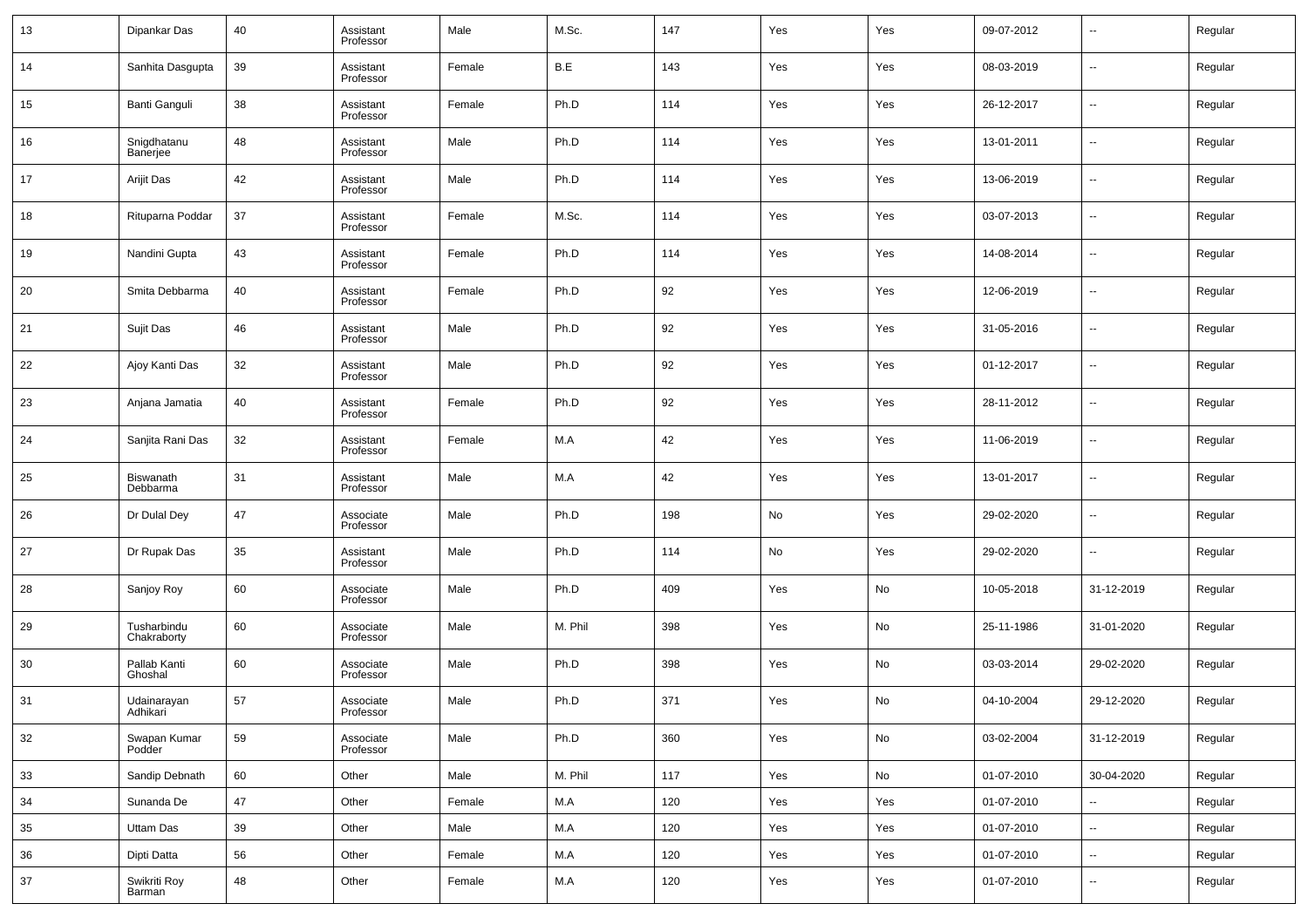| 13 | Dipankar Das               | 40 | Assistant<br>Professor | Male   | M.Sc.   | 147     | Yes | Yes | 09-07-2012 | $\sim$                   | Regular |
|----|----------------------------|----|------------------------|--------|---------|---------|-----|-----|------------|--------------------------|---------|
| 14 | Sanhita Dasgupta           | 39 | Assistant<br>Professor | Female | B.E     | 143     | Yes | Yes | 08-03-2019 | --                       | Regular |
| 15 | Banti Ganguli              | 38 | Assistant<br>Professor | Female | Ph.D    | 114     | Yes | Yes | 26-12-2017 | ш.                       | Regular |
| 16 | Snigdhatanu<br>Banerjee    | 48 | Assistant<br>Professor | Male   | Ph.D    | 114     | Yes | Yes | 13-01-2011 | ш,                       | Regular |
| 17 | Arijit Das                 | 42 | Assistant<br>Professor | Male   | Ph.D    | 114     | Yes | Yes | 13-06-2019 | ш,                       | Regular |
| 18 | Rituparna Poddar           | 37 | Assistant<br>Professor | Female | M.Sc.   | 114     | Yes | Yes | 03-07-2013 | --                       | Regular |
| 19 | Nandini Gupta              | 43 | Assistant<br>Professor | Female | Ph.D    | 114     | Yes | Yes | 14-08-2014 | ш,                       | Regular |
| 20 | Smita Debbarma             | 40 | Assistant<br>Professor | Female | Ph.D    | 92      | Yes | Yes | 12-06-2019 | --                       | Regular |
| 21 | Sujit Das                  | 46 | Assistant<br>Professor | Male   | Ph.D    | 92      | Yes | Yes | 31-05-2016 | ш,                       | Regular |
| 22 | Ajoy Kanti Das             | 32 | Assistant<br>Professor | Male   | Ph.D    | 92      | Yes | Yes | 01-12-2017 | --                       | Regular |
| 23 | Anjana Jamatia             | 40 | Assistant<br>Professor | Female | Ph.D    | 92      | Yes | Yes | 28-11-2012 | ш,                       | Regular |
| 24 | Sanjita Rani Das           | 32 | Assistant<br>Professor | Female | M.A     | 42      | Yes | Yes | 11-06-2019 | --                       | Regular |
| 25 | Biswanath<br>Debbarma      | 31 | Assistant<br>Professor | Male   | M.A     | 42      | Yes | Yes | 13-01-2017 | ш,                       | Regular |
| 26 | Dr Dulal Dey               | 47 | Associate<br>Professor | Male   | Ph.D    | 198     | No  | Yes | 29-02-2020 | --                       | Regular |
| 27 | Dr Rupak Das               | 35 | Assistant<br>Professor | Male   | Ph.D    | 114     | No  | Yes | 29-02-2020 | ш,                       | Regular |
| 28 | Sanjoy Roy                 | 60 | Associate<br>Professor | Male   | Ph.D    | 409     | Yes | No  | 10-05-2018 | 31-12-2019               | Regular |
| 29 | Tusharbindu<br>Chakraborty | 60 | Associate<br>Professor | Male   | M. Phil | 398     | Yes | No  | 25-11-1986 | 31-01-2020               | Regular |
| 30 | Pallab Kanti<br>Ghoshal    | 60 | Associate<br>Professor | Male   | Ph.D    | 398     | Yes | No  | 03-03-2014 | 29-02-2020               | Regular |
| 31 | Udainarayan<br>Adhikari    | 57 | Associate<br>Professor | Male   | Ph.D    | 371     | Yes | No  | 04-10-2004 | 29-12-2020               | Regular |
| 32 | Swapan Kumar<br>Podder     | 59 | Associate<br>Professor | Male   | Ph.D    | 360     | Yes | No  | 03-02-2004 | 31-12-2019               | Regular |
| 33 | Sandip Debnath             | 60 | Other                  | Male   | M. Phil | 117     | Yes | No  | 01-07-2010 | 30-04-2020               | Regular |
| 34 | Sunanda De                 | 47 | Other                  | Female | M.A     | 120     | Yes | Yes | 01-07-2010 | ш,                       | Regular |
| 35 | Uttam Das                  | 39 | Other                  | Male   | M.A     | 120     | Yes | Yes | 01-07-2010 | $\overline{\phantom{a}}$ | Regular |
| 36 | Dipti Datta                | 56 | Other                  | Female | M.A     | $120\,$ | Yes | Yes | 01-07-2010 | н.                       | Regular |
| 37 | Swikriti Roy<br>Barman     | 48 | Other                  | Female | M.A     | 120     | Yes | Yes | 01-07-2010 | --                       | Regular |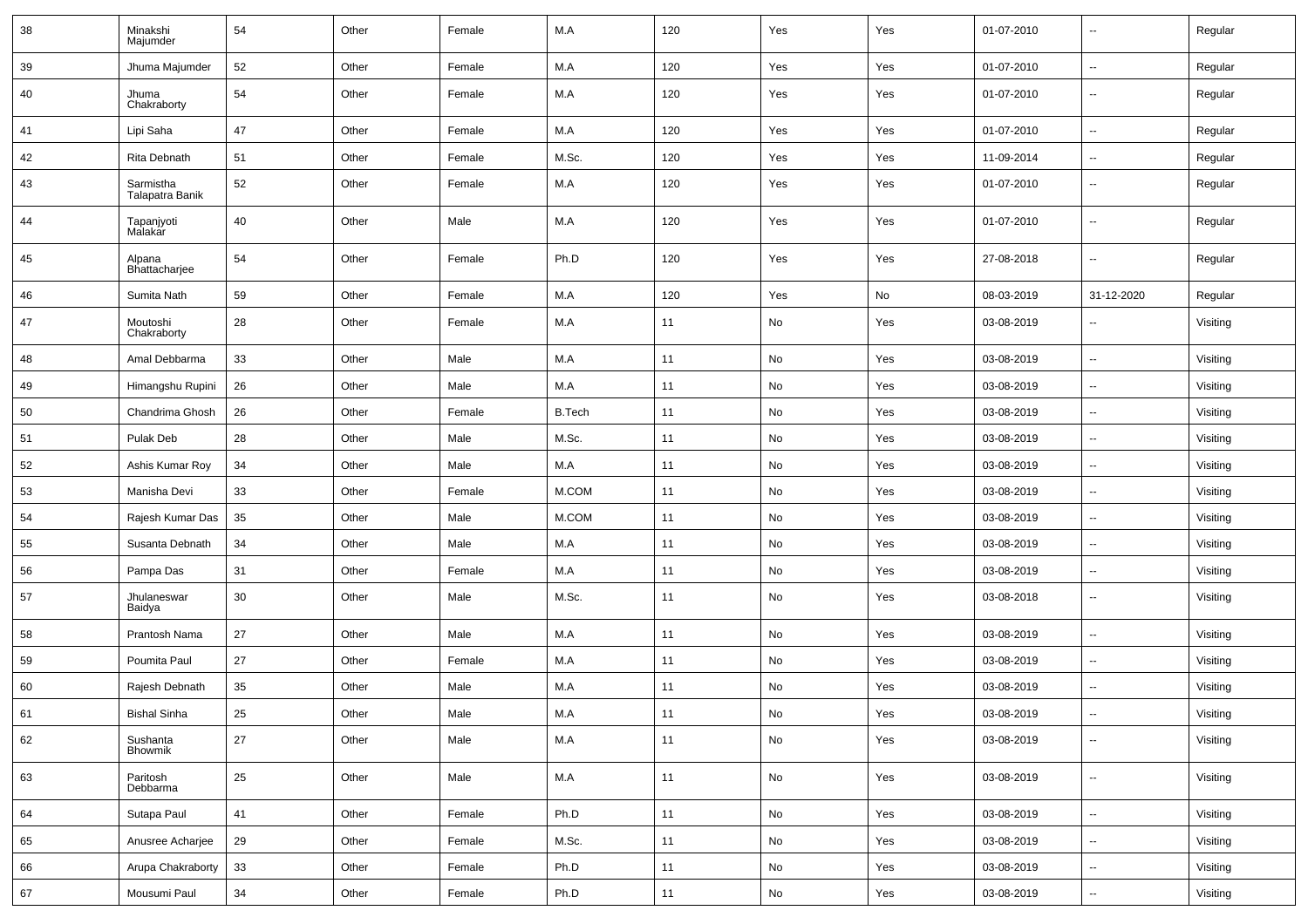| 38 | Minakshi<br>Majumder         | 54     | Other | Female | M.A           | 120  | Yes                          | Yes | 01-07-2010 | $\overline{\phantom{a}}$ | Regular  |
|----|------------------------------|--------|-------|--------|---------------|------|------------------------------|-----|------------|--------------------------|----------|
| 39 | Jhuma Majumder               | 52     | Other | Female | M.A           | 120  | Yes                          | Yes | 01-07-2010 | $\sim$                   | Regular  |
| 40 | Jhuma<br>Chakraborty         | 54     | Other | Female | M.A           | 120  | Yes                          | Yes | 01-07-2010 | $\overline{\phantom{a}}$ | Regular  |
| 41 | Lipi Saha                    | 47     | Other | Female | M.A           | 120  | Yes                          | Yes | 01-07-2010 | $\overline{\phantom{a}}$ | Regular  |
| 42 | Rita Debnath                 | 51     | Other | Female | M.Sc.         | 120  | Yes                          | Yes | 11-09-2014 | $\overline{\phantom{a}}$ | Regular  |
| 43 | Sarmistha<br>Talapatra Banik | 52     | Other | Female | M.A           | 120  | Yes                          | Yes | 01-07-2010 | $\overline{\phantom{a}}$ | Regular  |
| 44 | Tapanjyoti<br>Malakar        | 40     | Other | Male   | M.A           | 120  | Yes                          | Yes | 01-07-2010 | $\sim$                   | Regular  |
| 45 | Alpana<br>Bhattacharjee      | 54     | Other | Female | Ph.D          | 120  | Yes                          | Yes | 27-08-2018 | $\sim$                   | Regular  |
| 46 | Sumita Nath                  | 59     | Other | Female | M.A           | 120  | Yes                          | No  | 08-03-2019 | 31-12-2020               | Regular  |
| 47 | Moutoshi<br>Chakraborty      | 28     | Other | Female | M.A           | 11   | No                           | Yes | 03-08-2019 | $\overline{\phantom{a}}$ | Visiting |
| 48 | Amal Debbarma                | 33     | Other | Male   | M.A           | 11   | No                           | Yes | 03-08-2019 | $\sim$                   | Visiting |
| 49 | Himangshu Rupini             | 26     | Other | Male   | M.A           | 11   | No                           | Yes | 03-08-2019 | $\sim$                   | Visiting |
| 50 | Chandrima Ghosh              | 26     | Other | Female | <b>B.Tech</b> | 11   | No                           | Yes | 03-08-2019 | $\overline{\phantom{a}}$ | Visiting |
| 51 | Pulak Deb                    | 28     | Other | Male   | M.Sc.         | 11   | No                           | Yes | 03-08-2019 | $\sim$                   | Visiting |
| 52 | Ashis Kumar Roy              | 34     | Other | Male   | M.A           | 11   | No                           | Yes | 03-08-2019 | $\sim$                   | Visiting |
| 53 | Manisha Devi                 | 33     | Other | Female | M.COM         | 11   | No                           | Yes | 03-08-2019 | $\sim$                   | Visiting |
| 54 | Rajesh Kumar Das             | 35     | Other | Male   | M.COM         | 11   | No                           | Yes | 03-08-2019 | $\sim$                   | Visiting |
| 55 | Susanta Debnath              | 34     | Other | Male   | M.A           | 11   | No                           | Yes | 03-08-2019 | $\overline{\phantom{a}}$ | Visiting |
| 56 | Pampa Das                    | 31     | Other | Female | M.A           | 11   | No                           | Yes | 03-08-2019 | $\sim$                   | Visiting |
| 57 | Jhulaneswar<br>Baidya        | 30     | Other | Male   | M.Sc.         | 11   | No                           | Yes | 03-08-2018 | $\sim$                   | Visiting |
| 58 | Prantosh Nama                | 27     | Other | Male   | M.A           | 11   | No                           | Yes | 03-08-2019 | $\overline{\phantom{a}}$ | Visiting |
| 59 | Poumita Paul                 | 27     | Other | Female | M.A           | 11   | No                           | Yes | 03-08-2019 | $\overline{\phantom{a}}$ | Visiting |
| 60 | Rajesh Debnath               | 35     | Other | Male   | M.A           | 11   | $\mathsf{No}$                | Yes | 03-08-2019 | $\sim$                   | Visiting |
| 61 | <b>Bishal Sinha</b>          | $25\,$ | Other | Male   | ${\sf M.A}$   | $11$ | No                           | Yes | 03-08-2019 |                          | Visiting |
| 62 | Sushanta<br>Bhowmik          | 27     | Other | Male   | M.A           | 11   | No                           | Yes | 03-08-2019 | $\sim$                   | Visiting |
| 63 | Paritosh<br>Debbarma         | 25     | Other | Male   | M.A           | 11   | No                           | Yes | 03-08-2019 | $\overline{\phantom{a}}$ | Visiting |
| 64 | Sutapa Paul                  | 41     | Other | Female | Ph.D          | 11   | $\operatorname{\mathsf{No}}$ | Yes | 03-08-2019 | $\overline{\phantom{a}}$ | Visiting |
| 65 | Anusree Acharjee             | 29     | Other | Female | M.Sc.         | 11   | No                           | Yes | 03-08-2019 | $\overline{\phantom{a}}$ | Visiting |
| 66 | Arupa Chakraborty            | 33     | Other | Female | Ph.D          | 11   | $\operatorname{\mathsf{No}}$ | Yes | 03-08-2019 | $\overline{\phantom{a}}$ | Visiting |
| 67 | Mousumi Paul                 | 34     | Other | Female | Ph.D          | 11   | No                           | Yes | 03-08-2019 | $\overline{\phantom{a}}$ | Visiting |